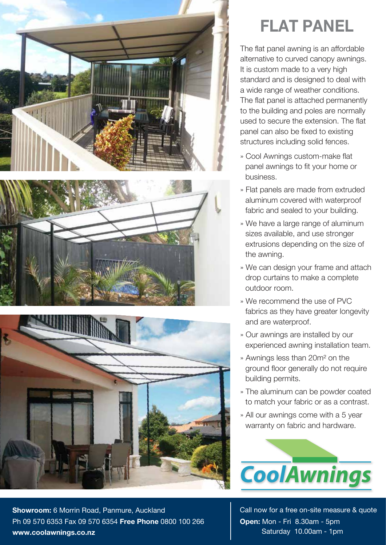





**FLAT PANEL**

The flat panel awning is an affordable alternative to curved canopy awnings. It is custom made to a very high standard and is designed to deal with a wide range of weather conditions. The flat panel is attached permanently to the building and poles are normally used to secure the extension. The flat panel can also be fixed to existing structures including solid fences.

- » Cool Awnings custom-make flat panel awnings to fit your home or business.
- » Flat panels are made from extruded aluminum covered with waterproof fabric and sealed to your building.
- » We have a large range of aluminum sizes available, and use stronger extrusions depending on the size of the awning.
- » We can design your frame and attach drop curtains to make a complete outdoor room.
- » We recommend the use of PVC fabrics as they have greater longevity and are waterproof.
- » Our awnings are installed by our experienced awning installation team.
- » Awnings less than 20m² on the ground floor generally do not require building permits.
- » The aluminum can be powder coated to match your fabric or as a contrast.
- » All our awnings come with a 5 year warranty on fabric and hardware.



Call now for a free on-site measure & quote **Open:** Mon - Fri 8.30am - 5pm Saturday 10.00am - 1pm

**Showroom:** 6 Morrin Road, Panmure, Auckland Ph 09 570 6353 Fax 09 570 6354 **Free Phone** 0800 100 266 **www.coolawnings.co.nz**